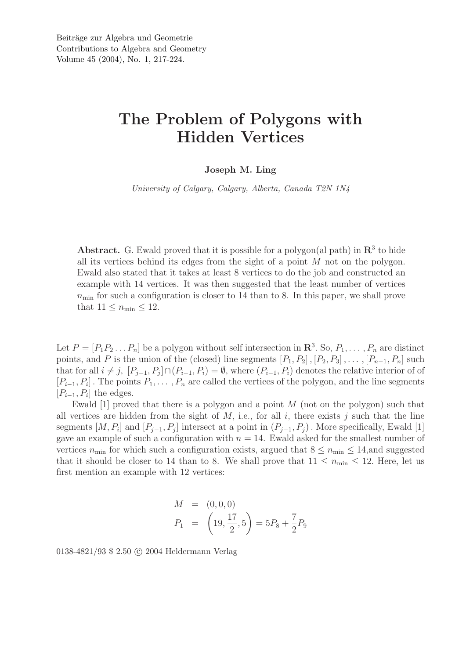## The Problem of Polygons with Hidden Vertices

## Joseph M. Ling

*University of Calgary, Calgary, Alberta, Canada T2N 1N4*

Abstract. G. Ewald proved that it is possible for a polygon(al path) in  $\mathbb{R}^3$  to hide all its vertices behind its edges from the sight of a point  $M$  not on the polygon. Ewald also stated that it takes at least 8 vertices to do the job and constructed an example with 14 vertices. It was then suggested that the least number of vertices  $n_{\min}$  for such a configuration is closer to 14 than to 8. In this paper, we shall prove that  $11 \leq n_{\min} \leq 12$ .

Let  $P = [P_1 P_2 ... P_n]$  be a polygon without self intersection in  $\mathbb{R}^3$ . So,  $P_1, ..., P_n$  are distinct points, and P is the union of the (closed) line segments  $[P_1, P_2], [P_2, P_3], \ldots, [P_{n-1}, P_n]$  such that for all  $i \neq j$ ,  $[P_{j-1}, P_j] \cap (P_{i-1}, P_i) = \emptyset$ , where  $(P_{i-1}, P_i)$  denotes the relative interior of of  $[P_{i-1}, P_i]$ . The points  $P_1, \ldots, P_n$  are called the vertices of the polygon, and the line segments  $[P_{i-1}, P_i]$  the edges.

Ewald [1] proved that there is a polygon and a point M (not on the polygon) such that all vertices are hidden from the sight of  $M$ , i.e., for all  $i$ , there exists  $j$  such that the line segments  $[M, P_i]$  and  $[P_{j-1}, P_j]$  intersect at a point in  $(P_{j-1}, P_j)$ . More specifically, Ewald [1] gave an example of such a configuration with  $n = 14$ . Ewald asked for the smallest number of vertices  $n_{\text{min}}$  for which such a configuration exists, argued that  $8 \leq n_{\text{min}} \leq 14$ , and suggested that it should be closer to 14 than to 8. We shall prove that  $11 \leq n_{\min} \leq 12$ . Here, let us first mention an example with 12 vertices:

$$
M = (0, 0, 0)
$$
  
\n
$$
P_1 = \left(19, \frac{17}{2}, 5\right) = 5P_8 + \frac{7}{2}P_9
$$

0138-4821/93 \$ 2.50 © 2004 Heldermann Verlag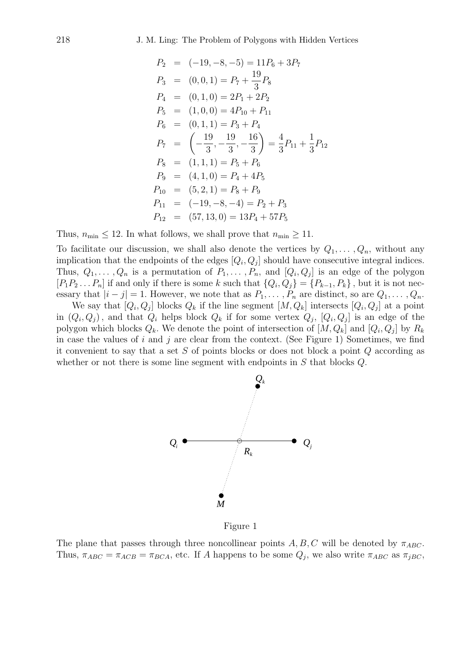$$
P_2 = (-19, -8, -5) = 11P_6 + 3P_7
$$
  
\n
$$
P_3 = (0, 0, 1) = P_7 + \frac{19}{3}P_8
$$
  
\n
$$
P_4 = (0, 1, 0) = 2P_1 + 2P_2
$$
  
\n
$$
P_5 = (1, 0, 0) = 4P_{10} + P_{11}
$$
  
\n
$$
P_6 = (0, 1, 1) = P_3 + P_4
$$
  
\n
$$
P_7 = \left(-\frac{19}{3}, -\frac{19}{3}, -\frac{16}{3}\right) = \frac{4}{3}P_{11} + \frac{1}{3}P_{12}
$$
  
\n
$$
P_8 = (1, 1, 1) = P_5 + P_6
$$
  
\n
$$
P_9 = (4, 1, 0) = P_4 + 4P_5
$$
  
\n
$$
P_{10} = (5, 2, 1) = P_8 + P_9
$$
  
\n
$$
P_{11} = (-19, -8, -4) = P_2 + P_3
$$
  
\n
$$
P_{12} = (57, 13, 0) = 13P_4 + 57P_5
$$

Thus,  $n_{\min} \leq 12$ . In what follows, we shall prove that  $n_{\min} \geq 11$ .

To facilitate our discussion, we shall also denote the vertices by  $Q_1, \ldots, Q_n$ , without any implication that the endpoints of the edges  $[Q_i, Q_j]$  should have consecutive integral indices. Thus,  $Q_1, \ldots, Q_n$  is a permutation of  $P_1, \ldots, P_n$ , and  $[Q_i, Q_j]$  is an edge of the polygon  $[P_1P_2...P_n]$  if and only if there is some k such that  $\{Q_i,Q_j\} = \{P_{k-1},P_k\}$ , but it is not necessary that  $|i - j| = 1$ . However, we note that as  $P_1, \ldots, P_n$  are distinct, so are  $Q_1, \ldots, Q_n$ .

We say that  $[Q_i, Q_j]$  blocks  $Q_k$  if the line segment  $[M, Q_k]$  intersects  $[Q_i, Q_j]$  at a point in  $(Q_i, Q_j)$ , and that  $Q_i$  helps block  $Q_k$  if for some vertex  $Q_j$ ,  $[Q_i, Q_j]$  is an edge of the polygon which blocks  $Q_k$ . We denote the point of intersection of  $[M, Q_k]$  and  $[Q_i, Q_j]$  by  $R_k$ in case the values of i and j are clear from the context. (See Figure 1) Sometimes, we find it convenient to say that a set  $S$  of points blocks or does not block a point  $Q$  according as whether or not there is some line segment with endpoints in  $S$  that blocks  $Q$ .



Figure 1

The plane that passes through three noncollinear points A, B, C will be denoted by  $\pi_{ABC}$ . Thus,  $\pi_{ABC} = \pi_{ACB} = \pi_{BCA}$ , etc. If A happens to be some  $Q_j$ , we also write  $\pi_{ABC}$  as  $\pi_{jBC}$ ,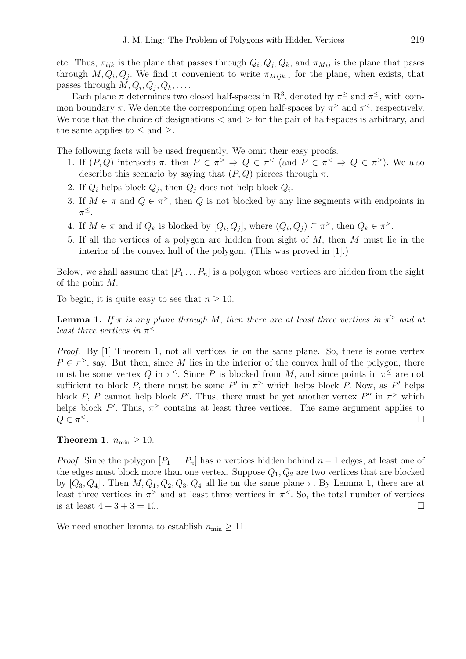etc. Thus,  $\pi_{ijk}$  is the plane that passes through  $Q_i, Q_j, Q_k$ , and  $\pi_{Mij}$  is the plane that pases through  $M, Q_i, Q_j$ . We find it convenient to write  $\pi_{Mijk...}$  for the plane, when exists, that passes through  $M, Q_i, Q_j, Q_k, \ldots$ .

Each plane  $\pi$  determines two closed half-spaces in  $\mathbb{R}^3$ , denoted by  $\pi^{\ge}$  and  $\pi^{\le}$ , with common boundary  $\pi$ . We denote the corresponding open half-spaces by  $\pi$ <sup>></sup> and  $\pi$ <sup><</sup>, respectively. We note that the choice of designations  $\langle$  and  $\rangle$  for the pair of half-spaces is arbitrary, and the same applies to  $\leq$  and  $\geq$ .

The following facts will be used frequently. We omit their easy proofs.

- 1. If  $(P,Q)$  intersects  $\pi$ , then  $P \in \pi^> \Rightarrow Q \in \pi^<$  (and  $P \in \pi^< \Rightarrow Q \in \pi^>$ ). We also describe this scenario by saying that  $(P, Q)$  pierces through  $\pi$ .
- 2. If  $Q_i$  helps block  $Q_j$ , then  $Q_j$  does not help block  $Q_i$ .
- 3. If  $M \in \pi$  and  $Q \in \pi^>$ , then Q is not blocked by any line segments with endpoints in  $\pi^{\leq}$ .
- 4. If  $M \in \pi$  and if  $Q_k$  is blocked by  $[Q_i, Q_j]$ , where  $(Q_i, Q_j) \subseteq \pi^>$ , then  $Q_k \in \pi^>$ .
- 5. If all the vertices of a polygon are hidden from sight of M, then M must lie in the interior of the convex hull of the polygon. (This was proved in [1].)

Below, we shall assume that  $[P_1 \dots P_n]$  is a polygon whose vertices are hidden from the sight of the point M.

To begin, it is quite easy to see that  $n \geq 10$ .

**Lemma 1.** If  $\pi$  is any plane through M, then there are at least three vertices in  $\pi$ <sup>></sup> and at *least three vertices in*  $\pi^<$ *.* 

*Proof.* By [1] Theorem 1, not all vertices lie on the same plane. So, there is some vertex  $P \in \pi^>$ , say. But then, since M lies in the interior of the convex hull of the polygon, there must be some vertex Q in  $\pi^{\le}$ . Since P is blocked from M, and since points in  $\pi^{\le}$  are not sufficient to block P, there must be some P' in  $\pi$ <sup>></sup> which helps block P. Now, as P' helps block P, P cannot help block P'. Thus, there must be yet another vertex P'' in  $\pi$ <sup>></sup> which helps block  $P'$ . Thus,  $\pi$ <sup>></sup> contains at least three vertices. The same argument applies to  $Q \in \pi^{\lt}$ .  $\le$  . The contract of the contract of the contract of the contract of the contract of  $\Box$ 

Theorem 1.  $n_{\min} \geq 10$ .

*Proof.* Since the polygon  $[P_1 \dots P_n]$  has n vertices hidden behind  $n-1$  edges, at least one of the edges must block more than one vertex. Suppose  $Q_1, Q_2$  are two vertices that are blocked by  $[Q_3, Q_4]$ . Then  $M, Q_1, Q_2, Q_3, Q_4$  all lie on the same plane  $\pi$ . By Lemma 1, there are at least three vertices in  $\pi$ <sup>></sup> and at least three vertices in  $\pi$ <sup><</sup>. So, the total number of vertices is at least  $4 + 3 + 3 = 10$ .

We need another lemma to establish  $n_{\min} \geq 11$ .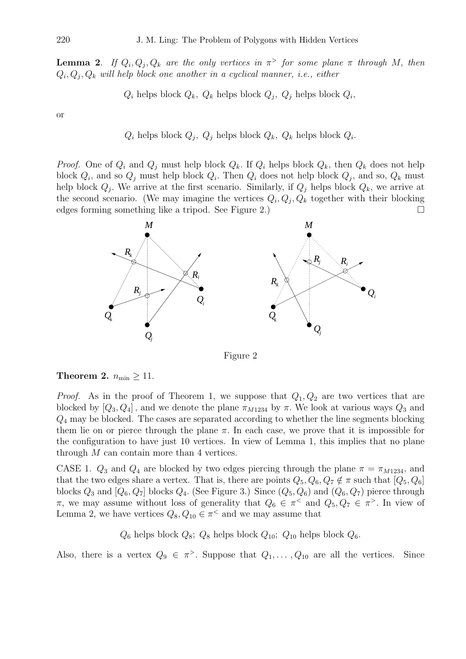**Lemma 2.** If  $Q_i, Q_j, Q_k$  are the only vertices in  $\pi$ <sup>></sup> for some plane  $\pi$  through M, then  $Q_i, Q_j, Q_k$  will help block one another in a cyclical manner, i.e., either

 $Q_i$  helps block  $Q_k$ ,  $Q_k$  helps block  $Q_j$ ,  $Q_j$  helps block  $Q_i$ ,

or

 $Q_i$  helps block  $Q_j$ ,  $Q_j$  helps block  $Q_k$ ,  $Q_k$  helps block  $Q_i$ .

*Proof.* One of  $Q_i$  and  $Q_j$  must help block  $Q_k$ . If  $Q_i$  helps block  $Q_k$ , then  $Q_k$  does not help block  $Q_i$ , and so  $Q_j$  must help block  $Q_i$ . Then  $Q_i$  does not help block  $Q_j$ , and so,  $Q_k$  must help block  $Q_j$ . We arrive at the first scenario. Similarly, if  $Q_j$  helps block  $Q_k$ , we arrive at the second scenario. (We may imagine the vertices  $Q_i, Q_j, Q_k$  together with their blocking edges forming something like a tripod. See Figure 2.)



Figure 2

## Theorem 2.  $n_{\min} \geq 11$ .

*Proof.* As in the proof of Theorem 1, we suppose that  $Q_1, Q_2$  are two vertices that are blocked by  $[Q_3, Q_4]$ , and we denote the plane  $\pi_{M1234}$  by  $\pi$ . We look at various ways  $Q_3$  and  $Q_4$  may be blocked. The cases are separated according to whether the line segments blocking them lie on or pierce through the plane  $\pi$ . In each case, we prove that it is impossible for the configuration to have just 10 vertices. In view of Lemma 1, this implies that no plane through  $M$  can contain more than 4 vertices.

CASE 1.  $Q_3$  and  $Q_4$  are blocked by two edges piercing through the plane  $\pi = \pi_{M1234}$ , and that the two edges share a vertex. That is, there are points  $Q_5, Q_6, Q_7 \notin \pi$  such that  $[Q_5, Q_6]$ blocks  $Q_3$  and  $[Q_6, Q_7]$  blocks  $Q_4$ . (See Figure 3.) Since  $(Q_5, Q_6)$  and  $(Q_6, Q_7)$  pierce through  $\pi$ , we may assume without loss of generality that  $Q_6 \in \pi^<$  and  $Q_5, Q_7 \in \pi^>$ . In view of Lemma 2, we have vertices  $Q_8, Q_{10} \in \pi^<$  and we may assume that

 $Q_6$  helps block  $Q_8$ ;  $Q_8$  helps block  $Q_{10}$ ;  $Q_{10}$  helps block  $Q_6$ .

Also, there is a vertex  $Q_9 \in \pi$ . Suppose that  $Q_1, \ldots, Q_{10}$  are all the vertices. Since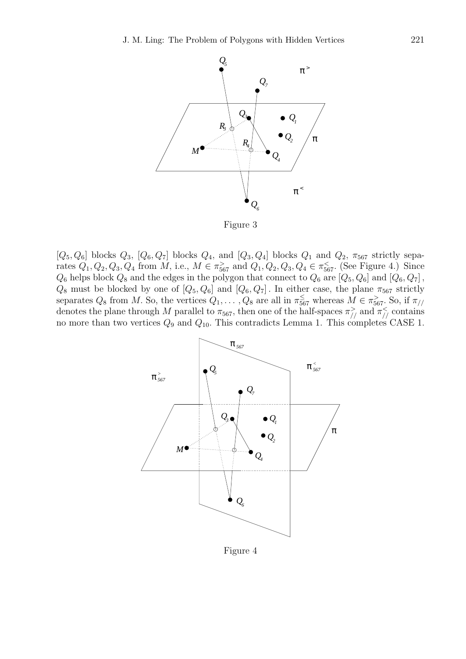

Figure 3

 $[Q_5, Q_6]$  blocks  $Q_3$ ,  $[Q_6, Q_7]$  blocks  $Q_4$ , and  $[Q_3, Q_4]$  blocks  $Q_1$  and  $Q_2$ ,  $\pi_{567}$  strictly separates  $Q_1, Q_2, Q_3, Q_4$  from M, i.e.,  $M \in \pi_{567}^>$  and  $Q_1, Q_2, Q_3, Q_4 \in \pi_{567}^<$ . (See Figure 4.) Since  $Q_6$  helps block  $Q_8$  and the edges in the polygon that connect to  $Q_6$  are  $[Q_5, Q_6]$  and  $[Q_6, Q_7]$ ,  $Q_8$  must be blocked by one of  $[Q_5, Q_6]$  and  $[Q_6, Q_7]$ . In either case, the plane  $\pi_{567}$  strictly separates  $Q_8$  from M. So, the vertices  $Q_1, \ldots, Q_8$  are all in  $\pi_{567}^{\le}$  whereas  $M \in \pi_{567}^{\ge}$ . So, if  $\pi_{//}$ denotes the plane through M parallel to  $\pi_{567}$ , then one of the half-spaces  $\pi_{//}^>$  and  $\pi_{//}^<$  contains no more than two vertices  $Q_9$  and  $Q_{10}$ . This contradicts Lemma 1. This completes CASE 1.



Figure 4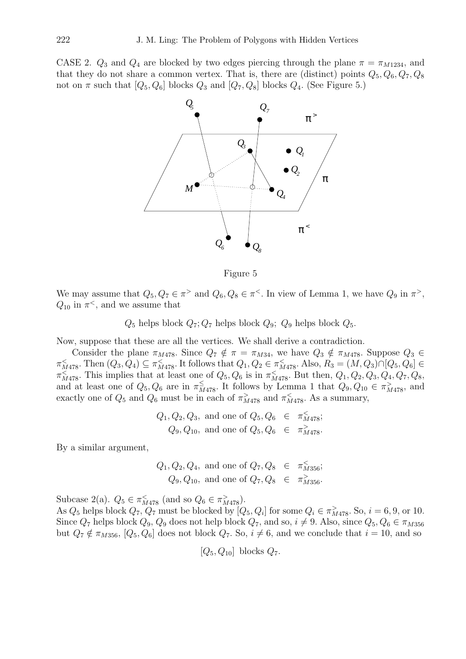CASE 2.  $Q_3$  and  $Q_4$  are blocked by two edges piercing through the plane  $\pi = \pi_{M1234}$ , and that they do not share a common vertex. That is, there are (distinct) points  $Q_5, Q_6, Q_7, Q_8$ not on  $\pi$  such that  $[Q_5, Q_6]$  blocks  $Q_3$  and  $[Q_7, Q_8]$  blocks  $Q_4$ . (See Figure 5.)



Figure 5

We may assume that  $Q_5, Q_7 \in \pi^>$  and  $Q_6, Q_8 \in \pi^<$ . In view of Lemma 1, we have  $Q_9$  in  $\pi^>,$  $Q_{10}$  in  $\pi^<$ , and we assume that

 $Q_5$  helps block  $Q_7$ ;  $Q_7$  helps block  $Q_9$ ;  $Q_9$  helps block  $Q_5$ .

Now, suppose that these are all the vertices. We shall derive a contradiction.

Consider the plane  $\pi_{M478}$ . Since  $Q_7 \notin \pi = \pi_{M34}$ , we have  $Q_3 \notin \pi_{M478}$ . Suppose  $Q_3 \in$  $\pi_{M478}^{\le}$ . Then  $(Q_3, Q_4) \subseteq \pi_{M478}^{\le}$ . It follows that  $Q_1, Q_2 \in \pi_{M478}^{\le}$ . Also,  $R_3 = (M, Q_3) \cap [Q_5, Q_6] \in$  $\pi_{M478}^<$ . This implies that at least one of  $Q_5, Q_6$  is in  $\pi_{M478}^<$ . But then,  $Q_1, Q_2, Q_3, Q_4, Q_7, Q_8$ , and at least one of  $Q_5, Q_6$  are in  $\pi^{\leq}_{M478}$ . It follows by Lemma 1 that  $Q_9, Q_{10} \in \pi^>_{M478}$ , and exactly one of  $Q_5$  and  $Q_6$  must be in each of  $\pi^>_{M478}$  and  $\pi^<_{M478}$ . As a summary,

$$
Q_1, Q_2, Q_3
$$
, and one of  $Q_5, Q_6 \in \pi_{M478}^{\lt}$ ;  
 $Q_9, Q_{10}$ , and one of  $Q_5, Q_6 \in \pi_{M478}^{\gt}$ .

By a similar argument,

$$
Q_1, Q_2, Q_4
$$
, and one of  $Q_7, Q_8 \in \pi_{M356}^{\lt}$ ;  
 $Q_9, Q_{10}$ , and one of  $Q_7, Q_8 \in \pi_{M356}^{\gt}$ .

Subcase 2(a).  $Q_5 \in \pi_{M478}^{\lt}$  (and so  $Q_6 \in \pi_{M478}^{\gt}$ ).

As  $Q_5$  helps block  $Q_7$ ,  $Q_7$  must be blocked by  $[Q_5, Q_i]$  for some  $Q_i \in \pi^>_{M478}$ . So,  $i = 6, 9$ , or 10. Since  $Q_7$  helps block  $Q_9$ ,  $Q_9$  does not help block  $Q_7$ , and so,  $i \neq 9$ . Also, since  $Q_5$ ,  $Q_6 \in \pi_{M356}$ but  $Q_7 \notin \pi_{M356}$ ,  $[Q_5, Q_6]$  does not block  $Q_7$ . So,  $i \neq 6$ , and we conclude that  $i = 10$ , and so

$$
[Q_5, Q_{10}]
$$
 blocks  $Q_7$ .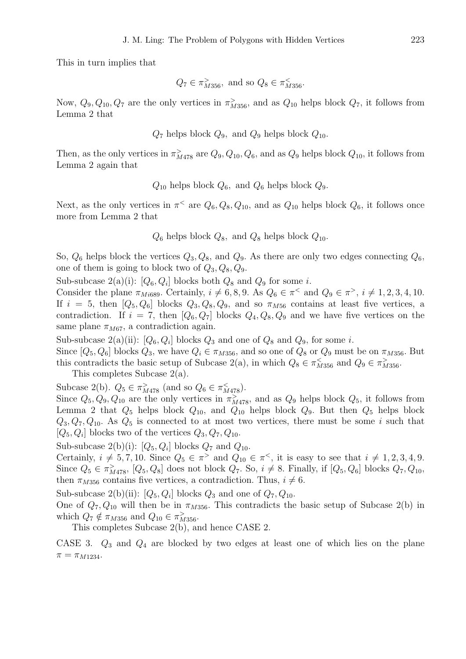This in turn implies that

$$
Q_7 \in \pi^>_{M356}
$$
, and so  $Q_8 \in \pi^<_{M356}$ .

Now,  $Q_9, Q_{10}, Q_7$  are the only vertices in  $\pi_{M356}^>$ , and as  $Q_{10}$  helps block  $Q_7$ , it follows from Lemma 2 that

 $Q_7$  helps block  $Q_9$ , and  $Q_9$  helps block  $Q_{10}$ .

Then, as the only vertices in  $\pi^>_{M478}$  are  $Q_9, Q_{10}, Q_6$ , and as  $Q_9$  helps block  $Q_{10}$ , it follows from Lemma 2 again that

 $Q_{10}$  helps block  $Q_6$ , and  $Q_6$  helps block  $Q_9$ .

Next, as the only vertices in  $\pi^<$  are  $Q_6, Q_8, Q_{10}$ , and as  $Q_{10}$  helps block  $Q_6$ , it follows once more from Lemma 2 that

 $Q_6$  helps block  $Q_8$ , and  $Q_8$  helps block  $Q_{10}$ .

So,  $Q_6$  helps block the vertices  $Q_3, Q_8$ , and  $Q_9$ . As there are only two edges connecting  $Q_6$ , one of them is going to block two of  $Q_3, Q_8, Q_9$ .

Sub-subcase  $2(a)(i)$ :  $[Q_6, Q_i]$  blocks both  $Q_8$  and  $Q_9$  for some *i*.

Consider the plane  $\pi_{M i689}$ . Certainly,  $i \neq 6, 8, 9$ . As  $Q_6 \in \pi^<$  and  $Q_9 \in \pi^>$ ,  $i \neq 1, 2, 3, 4, 10$ . If  $i = 5$ , then  $[Q_5, Q_6]$  blocks  $Q_3, Q_8, Q_9$ , and so  $\pi_{M56}$  contains at least five vertices, a contradiction. If  $i = 7$ , then  $[Q_6, Q_7]$  blocks  $Q_4, Q_8, Q_9$  and we have five vertices on the same plane  $\pi_{M67}$ , a contradiction again.

Sub-subcase  $2(a)(ii)$ :  $[Q_6, Q_i]$  blocks  $Q_3$  and one of  $Q_8$  and  $Q_9$ , for some *i*.

Since  $[Q_5, Q_6]$  blocks  $Q_3$ , we have  $Q_i \in \pi_{M356}$ , and so one of  $Q_8$  or  $Q_9$  must be on  $\pi_{M356}$ . But this contradicts the basic setup of Subcase 2(a), in which  $Q_8 \in \pi_{M356}^{\lt}$  and  $Q_9 \in \pi_{M356}^{\gt}$ .

This completes Subcase 2(a).

Subcase 2(b).  $Q_5 \in \pi_{M478}^>$  (and so  $Q_6 \in \pi_{M478}^<$ ).

Since  $Q_5, Q_9, Q_{10}$  are the only vertices in  $\pi^>_{M478}$ , and as  $Q_9$  helps block  $Q_5$ , it follows from Lemma 2 that  $Q_5$  helps block  $Q_{10}$ , and  $Q_{10}$  helps block  $Q_9$ . But then  $Q_5$  helps block  $Q_3, Q_7, Q_{10}$ . As  $Q_5$  is connected to at most two vertices, there must be some i such that  $[Q_5, Q_i]$  blocks two of the vertices  $Q_3, Q_7, Q_{10}$ .

Sub-subcase  $2(b)(i)$ :  $[Q_5, Q_i]$  blocks  $Q_7$  and  $Q_{10}$ .

Certainly,  $i \neq 5, 7, 10$ . Since  $Q_5 \in \pi$  and  $Q_{10} \in \pi$ <sup><</sup>, it is easy to see that  $i \neq 1, 2, 3, 4, 9$ . Since  $Q_5 \in \pi^>_{M478}$ ,  $[Q_5, Q_8]$  does not block  $Q_7$ . So,  $i \neq 8$ . Finally, if  $[Q_5, Q_6]$  blocks  $Q_7, Q_{10}$ , then  $\pi_{M356}$  contains five vertices, a contradiction. Thus,  $i \neq 6$ .

Sub-subcase 2(b)(ii):  $[Q_5, Q_i]$  blocks  $Q_3$  and one of  $Q_7, Q_{10}$ .

One of  $Q_7, Q_{10}$  will then be in  $\pi_{M356}$ . This contradicts the basic setup of Subcase 2(b) in which  $Q_7 \notin \pi_{M356}$  and  $Q_{10} \in \pi^>_{M356}$ .

This completes Subcase 2(b), and hence CASE 2.

CASE 3.  $Q_3$  and  $Q_4$  are blocked by two edges at least one of which lies on the plane  $\pi = \pi_{M1234}.$